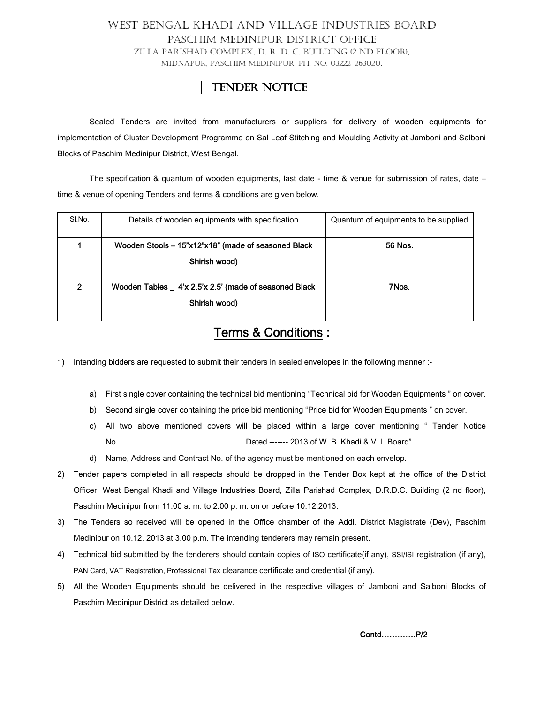## WEST BENGAL KHADI AND VILLAGE INDUSTRIES BOARD PASCHIM MEDINIPUR DISTRICT OFFICE ZILLA PARISHAD COMPLEX, D. R. D. C. BUILDING (2 ND FLOOR), MIDNAPUR, PASCHIM MEDINIPUR, PH. NO. 03222-263020.

## TENDER NOTICE

Sealed Tenders are invited from manufacturers or suppliers for delivery of wooden equipments for implementation of Cluster Development Programme on Sal Leaf Stitching and Moulding Activity at Jamboni and Salboni Blocks of Paschim Medinipur District, West Bengal.

The specification & quantum of wooden equipments, last date - time & venue for submission of rates, date – time & venue of opening Tenders and terms & conditions are given below.

| SI No. | Details of wooden equipments with specification                         | Quantum of equipments to be supplied |
|--------|-------------------------------------------------------------------------|--------------------------------------|
|        | Wooden Stools - 15"x12"x18" (made of seasoned Black<br>Shirish wood)    | 56 Nos.                              |
| 2      | Wooden Tables _ 4'x 2.5'x 2.5' (made of seasoned Black<br>Shirish wood) | 7Nos.                                |

## Terms & Conditions :

- 1) Intending bidders are requested to submit their tenders in sealed envelopes in the following manner :
	- a) First single cover containing the technical bid mentioning "Technical bid for Wooden Equipments " on cover.
	- b) Second single cover containing the price bid mentioning "Price bid for Wooden Equipments" on cover.
	- c) All two above mentioned covers will be placed within a large cover mentioning " Tender Notice No………………………………………… Dated ------- 2013 of W. B. Khadi & V. I. Board".
	- d) Name, Address and Contract No. of the agency must be mentioned on each envelop.
- 2) Tender papers completed in all respects should be dropped in the Tender Box kept at the office of the District Officer, West Bengal Khadi and Village Industries Board, Zilla Parishad Complex, D.R.D.C. Building (2 nd floor), Paschim Medinipur from 11.00 a. m. to 2.00 p. m. on or before 10.12.2013.
- 3) The Tenders so received will be opened in the Office chamber of the Addl. District Magistrate (Dev), Paschim Medinipur on 10.12. 2013 at 3.00 p.m. The intending tenderers may remain present.
- 4) Technical bid submitted by the tenderers should contain copies of ISO certificate(if any), SSI/ISI registration (if any), PAN Card, VAT Registration, Professional Tax clearance certificate and credential (if any).
- 5) All the Wooden Equipments should be delivered in the respective villages of Jamboni and Salboni Blocks of Paschim Medinipur District as detailed below.

Contd………….P/2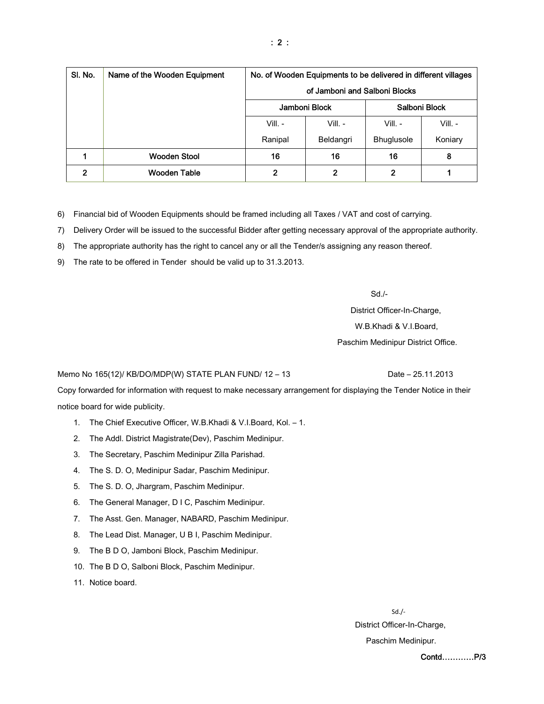| SI. No.        | Name of the Wooden Equipment | No. of Wooden Equipments to be delivered in different villages |                |                   |           |  |
|----------------|------------------------------|----------------------------------------------------------------|----------------|-------------------|-----------|--|
|                |                              | of Jamboni and Salboni Blocks                                  |                |                   |           |  |
|                |                              | Jamboni Block<br>Salboni Block                                 |                |                   |           |  |
|                |                              | $Vill. -$                                                      | $VIII. -$      | Vill. -           | $VIII. -$ |  |
|                |                              | Ranipal                                                        | Beldangri      | <b>Bhuglusole</b> | Koniary   |  |
|                | <b>Wooden Stool</b>          | 16                                                             | 16             | 16                | 8         |  |
| $\mathfrak{p}$ | <b>Wooden Table</b>          | 2                                                              | $\overline{2}$ | 2                 |           |  |

6) Financial bid of Wooden Equipments should be framed including all Taxes / VAT and cost of carrying.

- 7) Delivery Order will be issued to the successful Bidder after getting necessary approval of the appropriate authority.
- 8) The appropriate authority has the right to cancel any or all the Tender/s assigning any reason thereof.
- 9) The rate to be offered in Tender should be valid up to 31.3.2013.

 $Sd$ ./-

 District Officer-In-Charge, W.B.Khadi & V.I.Board, Paschim Medinipur District Office.

Memo No 165(12)/ KB/DO/MDP(W) STATE PLAN FUND/ 12 - 13 Date - 25.11.2013

Copy forwarded for information with request to make necessary arrangement for displaying the Tender Notice in their notice board for wide publicity.

- 1. The Chief Executive Officer, W.B.Khadi & V.I.Board, Kol. 1.
- 2. The Addl. District Magistrate(Dev), Paschim Medinipur.
- 3. The Secretary, Paschim Medinipur Zilla Parishad.
- 4. The S. D. O, Medinipur Sadar, Paschim Medinipur.
- 5. The S. D. O, Jhargram, Paschim Medinipur.
- 6. The General Manager, D I C, Paschim Medinipur.
- 7. The Asst. Gen. Manager, NABARD, Paschim Medinipur.
- 8. The Lead Dist. Manager, U B I, Paschim Medinipur.
- 9. The B D O, Jamboni Block, Paschim Medinipur.
- 10. The B D O, Salboni Block, Paschim Medinipur.
- 11. Notice board.

 Sd./‐ District Officer-In-Charge, Paschim Medinipur.

Contd…………P/3